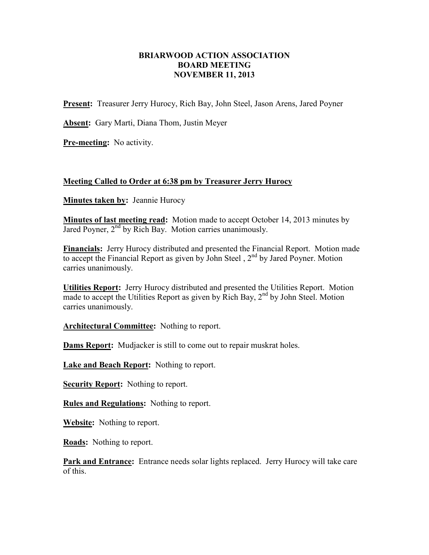## **BRIARWOOD ACTION ASSOCIATION BOARD MEETING NOVEMBER 11, 2013**

**Present:** Treasurer Jerry Hurocy, Rich Bay, John Steel, Jason Arens, Jared Poyner

**Absent:** Gary Marti, Diana Thom, Justin Meyer

**Pre-meeting:** No activity.

## **Meeting Called to Order at 6:38 pm by Treasurer Jerry Hurocy**

**Minutes taken by:** Jeannie Hurocy

**Minutes of last meeting read:** Motion made to accept October 14, 2013 minutes by Jared Poyner,  $2<sup>nd</sup>$  by Rich Bay. Motion carries unanimously.

**Financials:** Jerry Hurocy distributed and presented the Financial Report. Motion made to accept the Financial Report as given by John Steel, 2<sup>nd</sup> by Jared Poyner. Motion carries unanimously.

**Utilities Report:** Jerry Hurocy distributed and presented the Utilities Report. Motion made to accept the Utilities Report as given by Rich Bay,  $2<sup>nd</sup>$  by John Steel. Motion carries unanimously.

**Architectural Committee:** Nothing to report.

**Dams Report:** Mudjacker is still to come out to repair muskrat holes.

**Lake and Beach Report:** Nothing to report.

**Security Report:** Nothing to report.

**Rules and Regulations:** Nothing to report.

**Website:** Nothing to report.

**Roads:** Nothing to report.

**Park and Entrance:** Entrance needs solar lights replaced. Jerry Hurocy will take care of this.